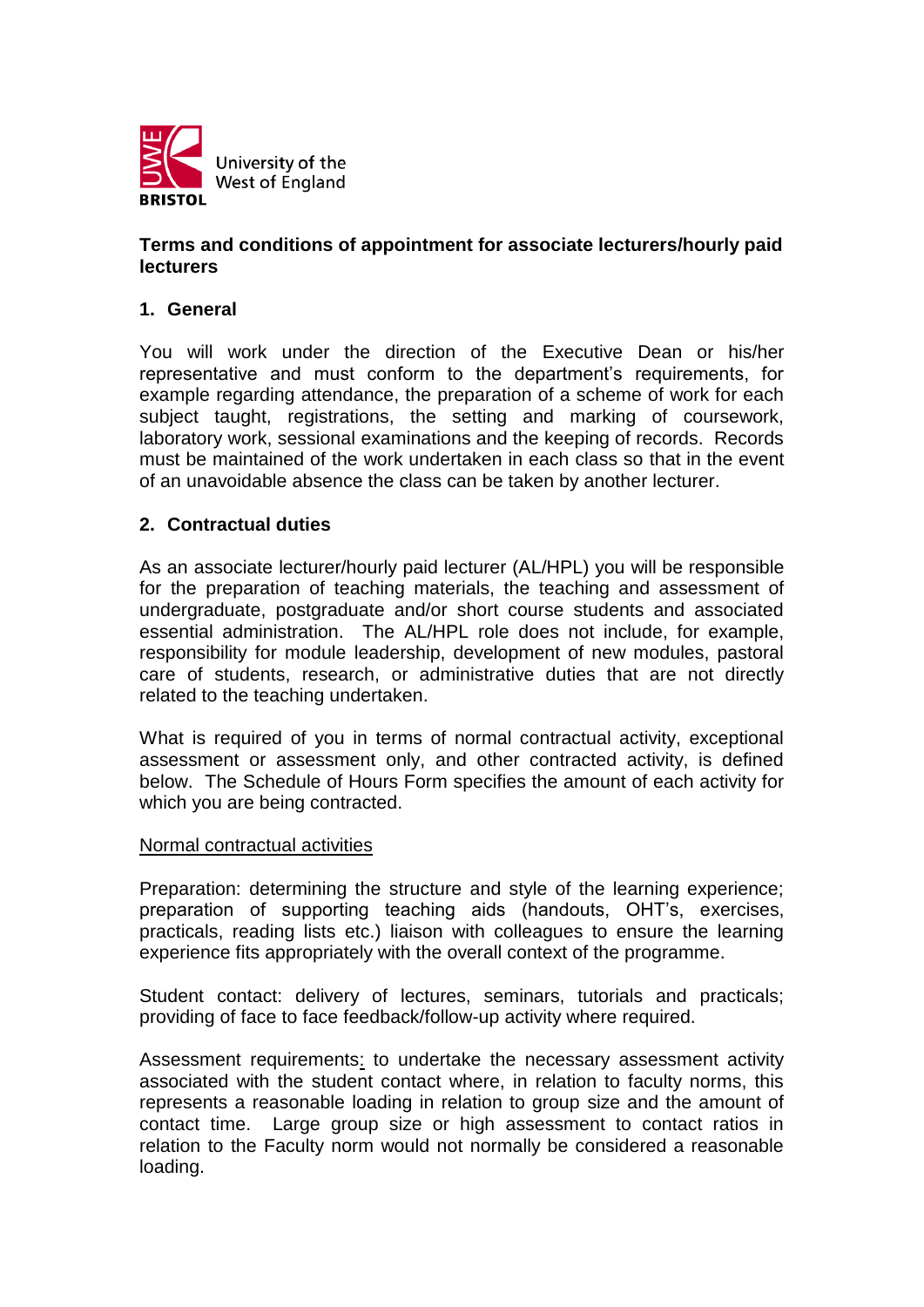

## **Terms and conditions of appointment for associate lecturers/hourly paid lecturers**

### **1. General**

You will work under the direction of the Executive Dean or his/her representative and must conform to the department's requirements, for example regarding attendance, the preparation of a scheme of work for each subject taught, registrations, the setting and marking of coursework, laboratory work, sessional examinations and the keeping of records. Records must be maintained of the work undertaken in each class so that in the event of an unavoidable absence the class can be taken by another lecturer.

### **2. Contractual duties**

As an associate lecturer/hourly paid lecturer (AL/HPL) you will be responsible for the preparation of teaching materials, the teaching and assessment of undergraduate, postgraduate and/or short course students and associated essential administration. The AL/HPL role does not include, for example, responsibility for module leadership, development of new modules, pastoral care of students, research, or administrative duties that are not directly related to the teaching undertaken.

What is required of you in terms of normal contractual activity, exceptional assessment or assessment only, and other contracted activity, is defined below. The Schedule of Hours Form specifies the amount of each activity for which you are being contracted.

#### Normal contractual activities

Preparation: determining the structure and style of the learning experience; preparation of supporting teaching aids (handouts, OHT's, exercises, practicals, reading lists etc.) liaison with colleagues to ensure the learning experience fits appropriately with the overall context of the programme.

Student contact: delivery of lectures, seminars, tutorials and practicals; providing of face to face feedback/follow-up activity where required.

Assessment requirements: to undertake the necessary assessment activity associated with the student contact where, in relation to faculty norms, this represents a reasonable loading in relation to group size and the amount of contact time. Large group size or high assessment to contact ratios in relation to the Faculty norm would not normally be considered a reasonable loading.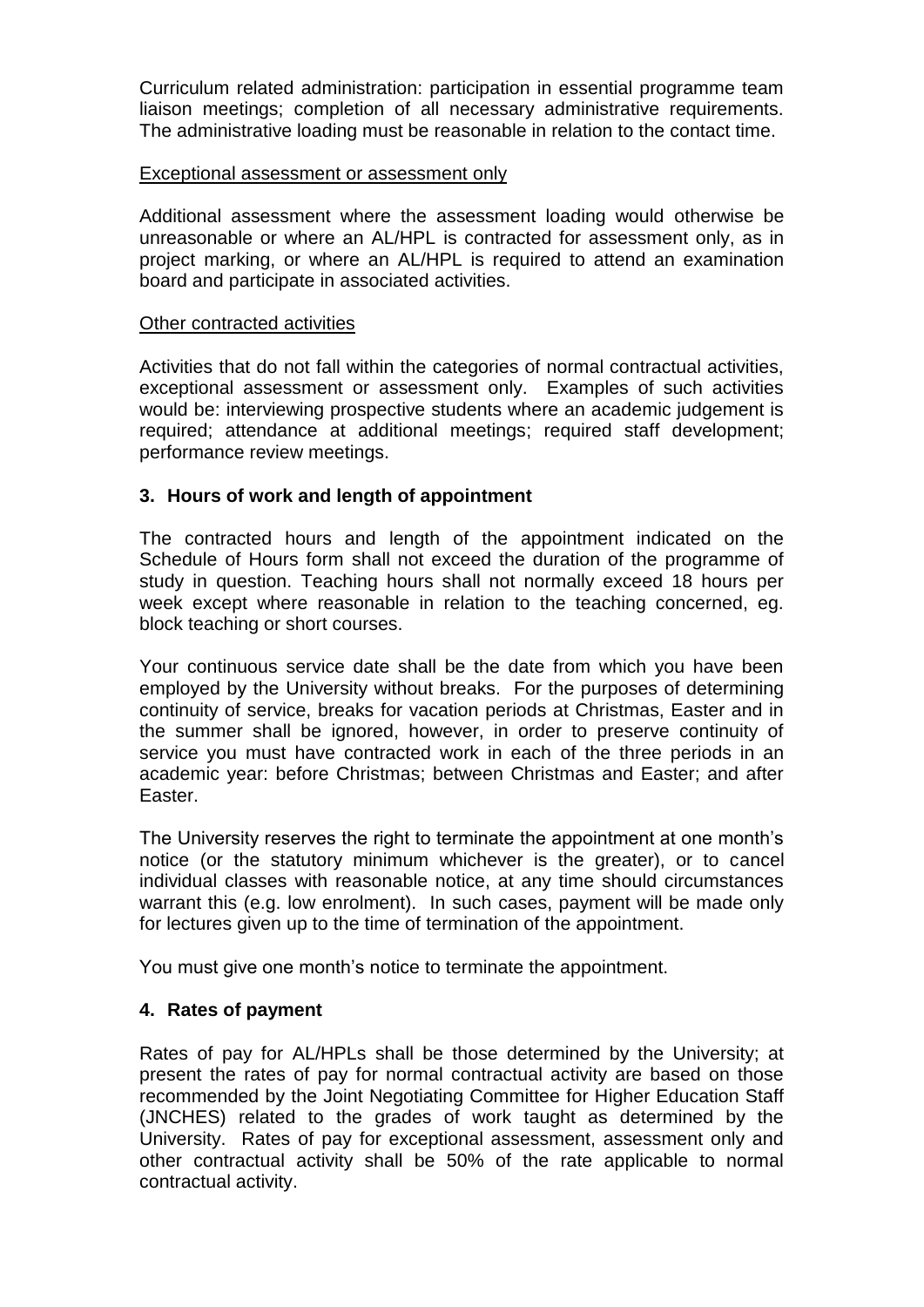Curriculum related administration: participation in essential programme team liaison meetings; completion of all necessary administrative requirements. The administrative loading must be reasonable in relation to the contact time.

#### Exceptional assessment or assessment only

Additional assessment where the assessment loading would otherwise be unreasonable or where an AL/HPL is contracted for assessment only, as in project marking, or where an AL/HPL is required to attend an examination board and participate in associated activities.

#### Other contracted activities

Activities that do not fall within the categories of normal contractual activities, exceptional assessment or assessment only. Examples of such activities would be: interviewing prospective students where an academic judgement is required; attendance at additional meetings; required staff development; performance review meetings.

## **3. Hours of work and length of appointment**

The contracted hours and length of the appointment indicated on the Schedule of Hours form shall not exceed the duration of the programme of study in question. Teaching hours shall not normally exceed 18 hours per week except where reasonable in relation to the teaching concerned, eg. block teaching or short courses.

Your continuous service date shall be the date from which you have been employed by the University without breaks. For the purposes of determining continuity of service, breaks for vacation periods at Christmas, Easter and in the summer shall be ignored, however, in order to preserve continuity of service you must have contracted work in each of the three periods in an academic year: before Christmas; between Christmas and Easter; and after Easter.

The University reserves the right to terminate the appointment at one month's notice (or the statutory minimum whichever is the greater), or to cancel individual classes with reasonable notice, at any time should circumstances warrant this (e.g. low enrolment). In such cases, payment will be made only for lectures given up to the time of termination of the appointment.

You must give one month's notice to terminate the appointment.

## **4. Rates of payment**

Rates of pay for AL/HPLs shall be those determined by the University; at present the rates of pay for normal contractual activity are based on those recommended by the Joint Negotiating Committee for Higher Education Staff (JNCHES) related to the grades of work taught as determined by the University. Rates of pay for exceptional assessment, assessment only and other contractual activity shall be 50% of the rate applicable to normal contractual activity.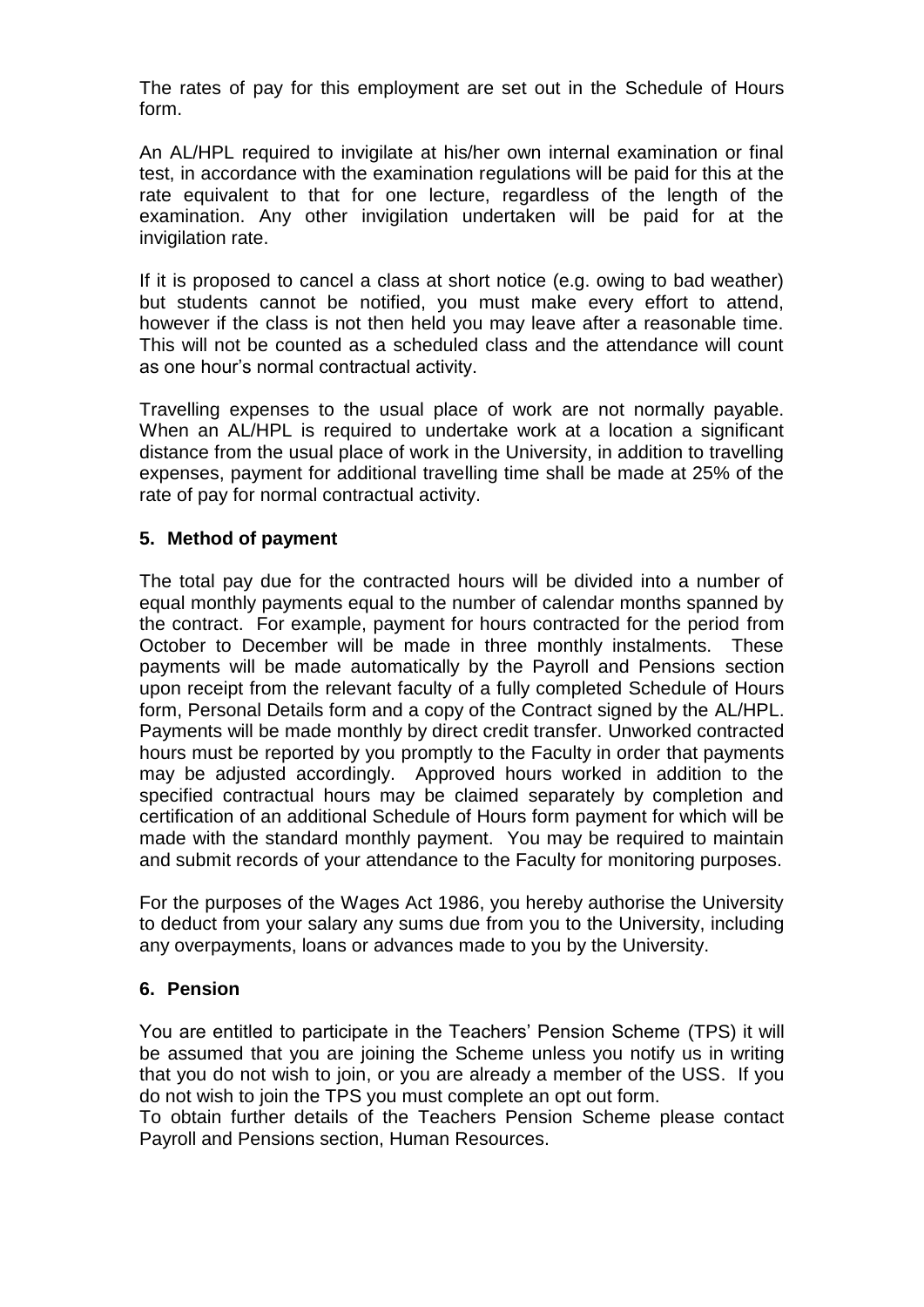The rates of pay for this employment are set out in the Schedule of Hours form.

An AL/HPL required to invigilate at his/her own internal examination or final test, in accordance with the examination regulations will be paid for this at the rate equivalent to that for one lecture, regardless of the length of the examination. Any other invigilation undertaken will be paid for at the invigilation rate.

If it is proposed to cancel a class at short notice (e.g. owing to bad weather) but students cannot be notified, you must make every effort to attend, however if the class is not then held you may leave after a reasonable time. This will not be counted as a scheduled class and the attendance will count as one hour's normal contractual activity.

Travelling expenses to the usual place of work are not normally payable. When an AL/HPL is required to undertake work at a location a significant distance from the usual place of work in the University, in addition to travelling expenses, payment for additional travelling time shall be made at 25% of the rate of pay for normal contractual activity.

## **5. Method of payment**

The total pay due for the contracted hours will be divided into a number of equal monthly payments equal to the number of calendar months spanned by the contract. For example, payment for hours contracted for the period from October to December will be made in three monthly instalments. These payments will be made automatically by the Payroll and Pensions section upon receipt from the relevant faculty of a fully completed Schedule of Hours form, Personal Details form and a copy of the Contract signed by the AL/HPL. Payments will be made monthly by direct credit transfer. Unworked contracted hours must be reported by you promptly to the Faculty in order that payments may be adjusted accordingly. Approved hours worked in addition to the specified contractual hours may be claimed separately by completion and certification of an additional Schedule of Hours form payment for which will be made with the standard monthly payment. You may be required to maintain and submit records of your attendance to the Faculty for monitoring purposes.

For the purposes of the Wages Act 1986, you hereby authorise the University to deduct from your salary any sums due from you to the University, including any overpayments, loans or advances made to you by the University.

## **6. Pension**

You are entitled to participate in the Teachers' Pension Scheme (TPS) it will be assumed that you are joining the Scheme unless you notify us in writing that you do not wish to join, or you are already a member of the USS. If you do not wish to join the TPS you must complete an opt out form.

To obtain further details of the Teachers Pension Scheme please contact Payroll and Pensions section, Human Resources.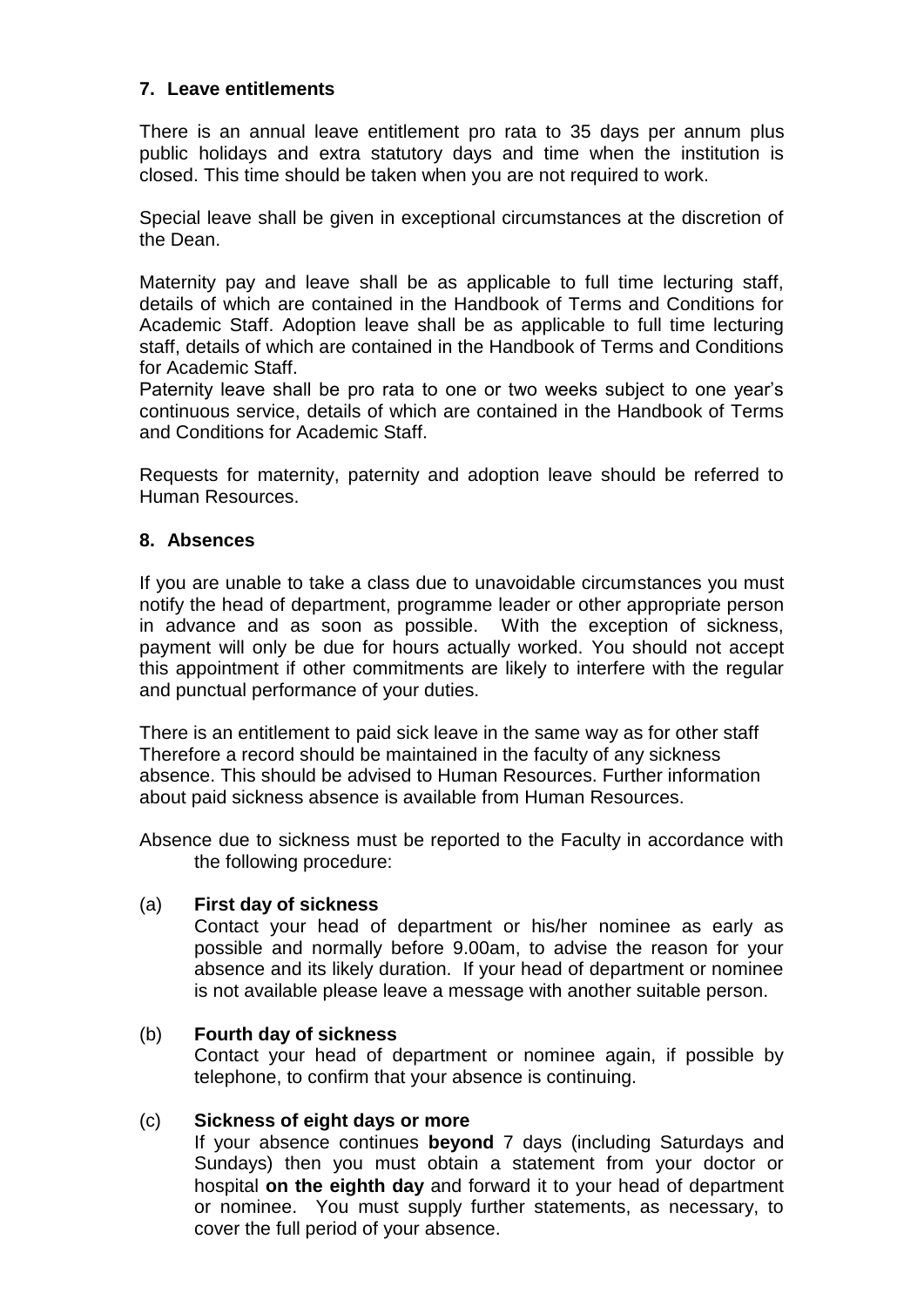### **7. Leave entitlements**

There is an annual leave entitlement pro rata to 35 days per annum plus public holidays and extra statutory days and time when the institution is closed. This time should be taken when you are not required to work.

Special leave shall be given in exceptional circumstances at the discretion of the Dean.

Maternity pay and leave shall be as applicable to full time lecturing staff, details of which are contained in the Handbook of Terms and Conditions for Academic Staff. Adoption leave shall be as applicable to full time lecturing staff, details of which are contained in the Handbook of Terms and Conditions for Academic Staff.

Paternity leave shall be pro rata to one or two weeks subject to one year's continuous service, details of which are contained in the Handbook of Terms and Conditions for Academic Staff.

Requests for maternity, paternity and adoption leave should be referred to Human Resources.

### **8. Absences**

If you are unable to take a class due to unavoidable circumstances you must notify the head of department, programme leader or other appropriate person in advance and as soon as possible. With the exception of sickness, payment will only be due for hours actually worked. You should not accept this appointment if other commitments are likely to interfere with the regular and punctual performance of your duties.

There is an entitlement to paid sick leave in the same way as for other staff Therefore a record should be maintained in the faculty of any sickness absence. This should be advised to Human Resources. Further information about paid sickness absence is available from Human Resources.

Absence due to sickness must be reported to the Faculty in accordance with the following procedure:

#### (a) **First day of sickness**

Contact your head of department or his/her nominee as early as possible and normally before 9.00am, to advise the reason for your absence and its likely duration. If your head of department or nominee is not available please leave a message with another suitable person.

#### (b) **Fourth day of sickness**

Contact your head of department or nominee again, if possible by telephone, to confirm that your absence is continuing.

#### (c) **Sickness of eight days or more**

If your absence continues **beyond** 7 days (including Saturdays and Sundays) then you must obtain a statement from your doctor or hospital **on the eighth day** and forward it to your head of department or nominee. You must supply further statements, as necessary, to cover the full period of your absence.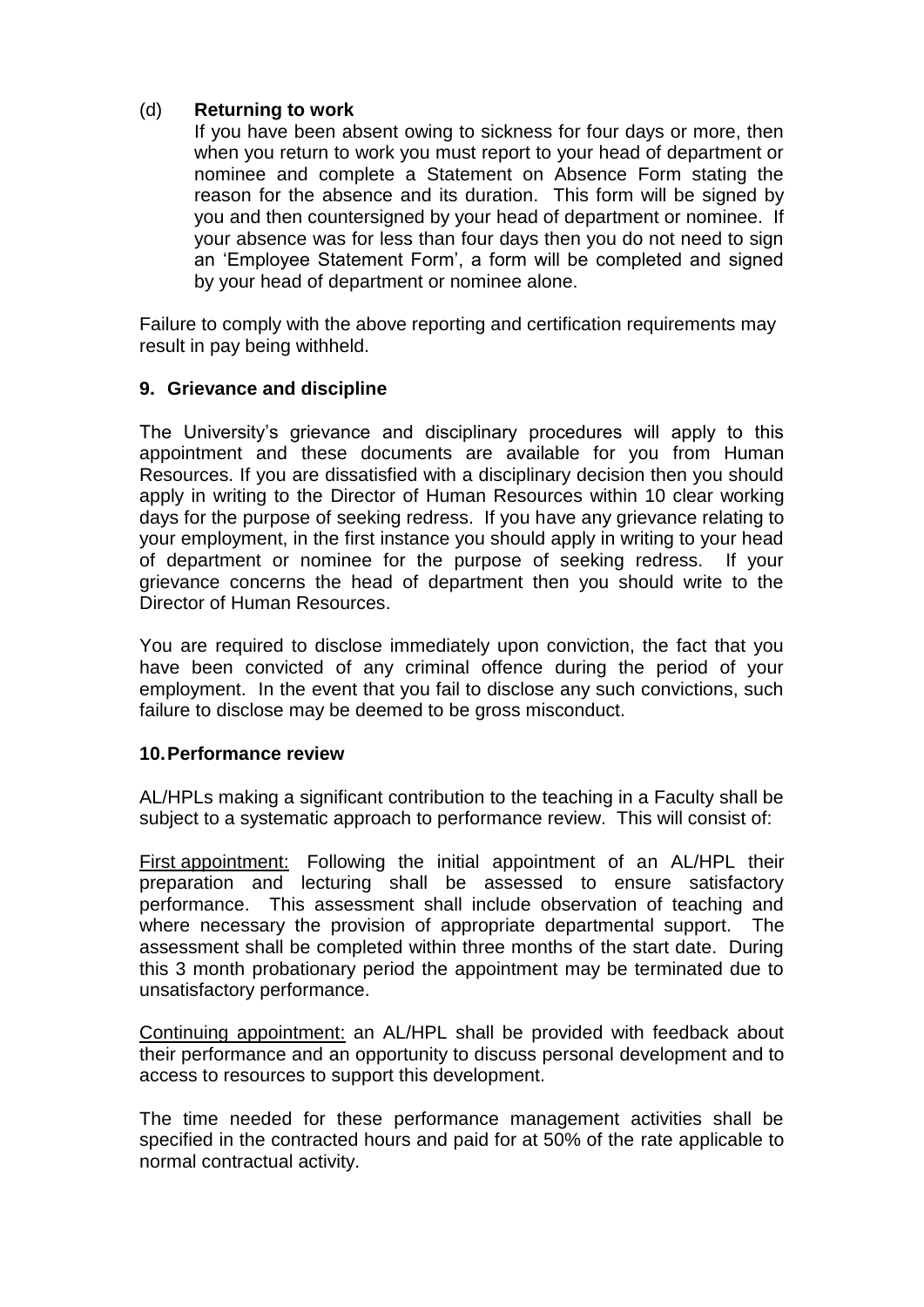# (d) **Returning to work**

If you have been absent owing to sickness for four days or more, then when you return to work you must report to your head of department or nominee and complete a Statement on Absence Form stating the reason for the absence and its duration. This form will be signed by you and then countersigned by your head of department or nominee. If your absence was for less than four days then you do not need to sign an 'Employee Statement Form', a form will be completed and signed by your head of department or nominee alone.

Failure to comply with the above reporting and certification requirements may result in pay being withheld.

# **9. Grievance and discipline**

The University's grievance and disciplinary procedures will apply to this appointment and these documents are available for you from Human Resources. If you are dissatisfied with a disciplinary decision then you should apply in writing to the Director of Human Resources within 10 clear working days for the purpose of seeking redress. If you have any grievance relating to your employment, in the first instance you should apply in writing to your head of department or nominee for the purpose of seeking redress. If your grievance concerns the head of department then you should write to the Director of Human Resources.

You are required to disclose immediately upon conviction, the fact that you have been convicted of any criminal offence during the period of your employment. In the event that you fail to disclose any such convictions, such failure to disclose may be deemed to be gross misconduct.

# **10.Performance review**

AL/HPLs making a significant contribution to the teaching in a Faculty shall be subject to a systematic approach to performance review. This will consist of:

First appointment: Following the initial appointment of an AL/HPL their preparation and lecturing shall be assessed to ensure satisfactory performance. This assessment shall include observation of teaching and where necessary the provision of appropriate departmental support. The assessment shall be completed within three months of the start date. During this 3 month probationary period the appointment may be terminated due to unsatisfactory performance.

Continuing appointment: an AL/HPL shall be provided with feedback about their performance and an opportunity to discuss personal development and to access to resources to support this development.

The time needed for these performance management activities shall be specified in the contracted hours and paid for at 50% of the rate applicable to normal contractual activity.